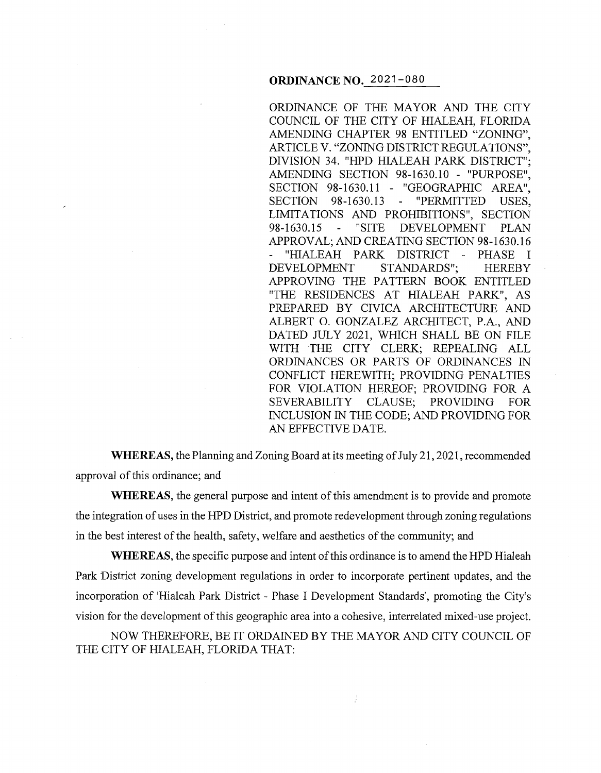ORDINANCE OF THE MAYOR AND THE CITY COUNCIL OF THE CITY OF HIALEAH, FLORIDA AMENDING CHAPTER 98 ENTITLED "ZONING", ARTICLE V. "ZONING DISTRICT REGULATIONS", DIVISION 34. "HPD HIALEAH PARK DISTRICT"; AMENDING SECTION 98-1630.10 - "PURPOSE", SECTION 98-1630.11 - "GEOGRAPHIC AREA", SECTION 98-1630.13 - "PERMITTED USES, LIMITATIONS AND PROHIBITIONS", SECTION 98-1630.15 "SITE DEVELOPMENT PLAN APPROVAL; AND CREATING SECTION 98-1630.16 "HIALEAH PARK DISTRICT - PHASE I DEVELOPMENT STANDARDS"; HEREBY APPROVING THE PATTERN BOOK ENTITLED "THE RESIDENCES AT HIALEAH PARK", AS PREPARED BY CIVICA ARCHITECTURE AND ALBERT 0. GONZALEZ ARCHITECT, P.A., AND DATED JULY 2021, WHICH SHALL BE ON FILE WITH THE CITY CLERK; REPEALING ALL ORDINANCES OR PARTS OF ORDINANCES IN CONFLICT HEREWITH; PROVIDING PENALTIES FOR VIOLATION HEREOF; PROVIDING FOR A SEVERABILITY CLAUSE; PROVIDING FOR INCLUSION IN THE CODE; AND PROVIDING FOR AN EFFECTIVE DATE.

**WHEREAS,** the Planning and Zoning Board at its meeting of July 21, 2021, recommended approval of this ordinance; and

**WHEREAS,** the general purpose and intent of this amendment is to provide and promote the integration of uses in the HPD District, and promote redevelopment through zoning regulations in the best interest of the health, safety, welfare and aesthetics of the community; and

**WHEREAS,** the specific purpose and intent of this ordinance is to amend the HPD Hialeah Park District zoning development regulations in order to incorporate pertinent updates, and the incorporation of 'Hialeah Park District - Phase I Development Standards', promoting the City's vision for the development of this geographic area into a cohesive, interrelated mixed-use project.

NOW THEREFORE, BE IT ORDAINED BY THE MAYOR AND CITY COUNCIL OF THE CITY OF HIALEAH, FLORIDA THAT: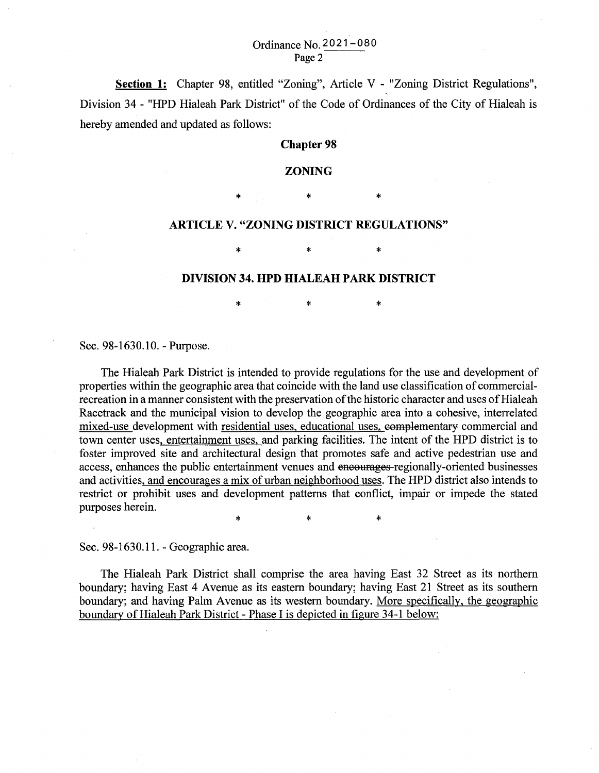## Ordinance No.2021-080 Page 2

Section 1: Chapter 98, entitled "Zoning", Article V - "Zoning District Regulations", Division 34 - "HPD Hialeah Park District" of the Code of Ordinances of the City of Hialeah is hereby amended and updated as follows:

### **Chapter 98**

#### **ZONING**

\* \* \* \*

# **ARTICLE V. "ZONING DISTRICT REGULATIONS"**

\* \* \* \* \*

### **DIVISION 34. HPD HIALEAH PARK DISTRICT**

\* \* \* \*

Sec. 98-1630.10. - Purpose.

The Hialeah Park District is intended to provide regulations for the use and development of properties within the geographic area that coincide with the land use classification of commercialrecreation in a manner consistent with the preservation of the historic character and uses of Hialeah Racetrack and the municipal vision to develop the geographic area into a cohesive, interrelated mixed-use development with residential uses, educational uses, complementary commercial and town center uses, entertainment uses, and parking facilities. The intent of the HPD district is to foster improved site and architectural design that promotes safe and active pedestrian use and access, enhances the public entertainment venues and encourages regionally-oriented businesses and activities, and encourages a mix of urban neighborhood uses. The HPD district also intends to restrict or prohibit uses and development patterns that conflict, impair or impede the stated purposes herein.

\* \* \* \*

Sec. 98-1630.11. - Geographic area.

The Hialeah Park District shall comprise the area having East 32 Street as its northern boundary; having East 4 Avenue as its eastern boundary; having East 21 Street as its southern boundary; and having Palm Avenue as its western boundary. More specifically, the geographic boundary of Hialeah Park District - Phase I is depicted in figure 34-1 below: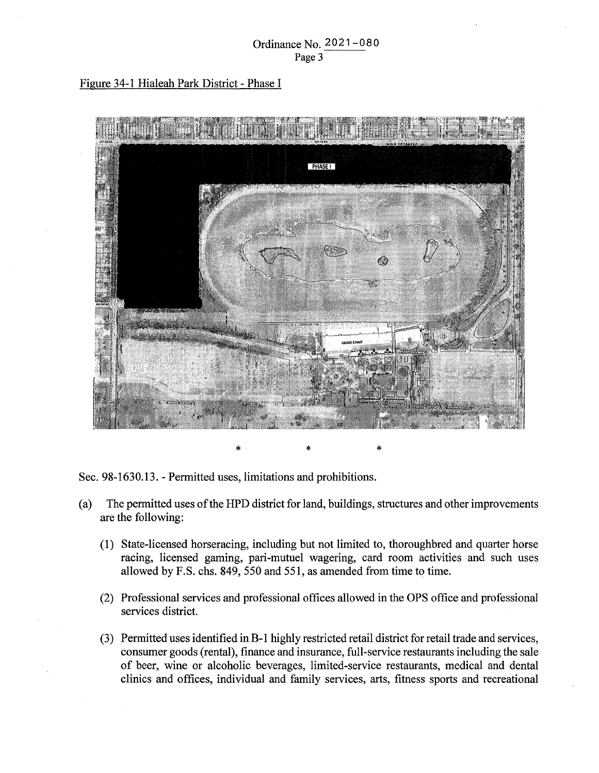# Ordinance No. 2021-080 Page 3

# Figure 34-1 Hialeah Park District - Phase I



Sec. 98-1630.13. - Permitted uses, limitations and prohibitions.

- (a) The permitted uses of the HPD district for land, buildings, structures and other improvements are the following:
	- (1) State-licensed horseracing, including but not limited to, thoroughbred and quarter horse racing, licensed gaming, pari-mutuel wagering, card room activities and such uses allowed by F.S. chs. 849, 550 and 551, as amended from time to time.
	- (2) Professional services and professional offices allowed in the OPS office and professional services district.
	- (3) Permitted uses identified in B-1 highly restricted retail district for retail trade and services, consumer goods (rental), finance and insurance, full-service restaurants including the sale of beer, wine or alcoholic beverages, limited-service restaurants, medical and dental clinics and offices, individual and family services, arts, fitness sports and recreational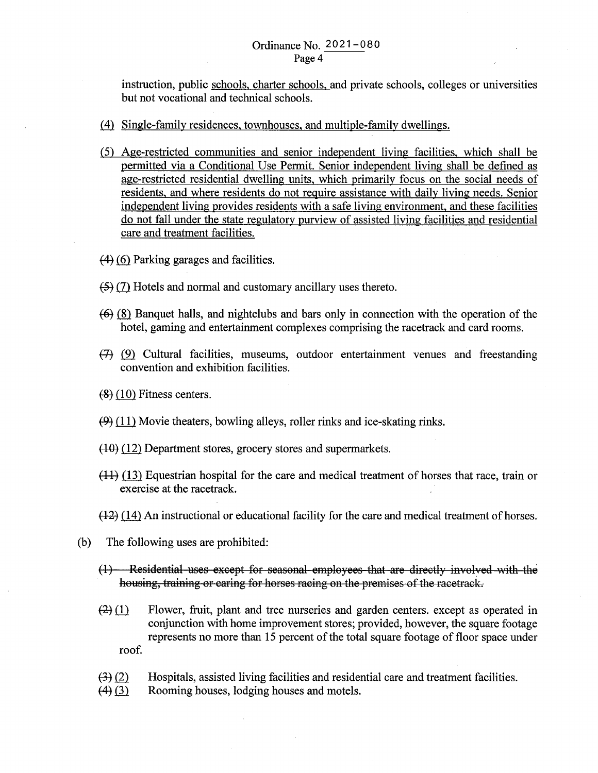instruction, public schools, charter schools, and private schools, colleges or universities but not vocational and technical schools.

- ® Single-family residences, townhouses, and multiple-family dwellings.
- (5) Age-restricted communities and senior independent living facilities, which shall be permitted via a Conditional Use Permit. Senior independent living shall be defined as age-restricted residential dwelling units, which primarily focus on the social needs of residents, and where residents do not require assistance with daily living needs. Senior independent living provides residents with a safe living environment, and these facilities do not fall under the state regulatory purview of assisted living facilities and residential care and treatment facilities.
- $(4)$  (6) Parking garages and facilities.
- $(5)(7)$  Hotels and normal and customary ancillary uses thereto.
- $(6)$   $(8)$  Banquet halls, and nightclubs and bars only in connection with the operation of the hotel, gaming and entertainment complexes comprising the racetrack and card rooms.
- *fPJ* .(2} Cultural facilities, museums, outdoor entertainment venues and freestanding convention and exhibition facilities.
- $\left( 8 \right)$  (10) Fitness centers.
- $(9)$  (11) Movie theaters, bowling alleys, roller rinks and ice-skating rinks.
- $(10)$  (12) Department stores, grocery stores and supermarkets.
- $f$ (13) Equestrian hospital for the care and medical treatment of horses that race, train or exercise at the racetrack.
- $(12)$  (14) An instructional or educational facility for the care and medical treatment of horses.
- (b) The following uses are prohibited:
	- (1) Residential uses except for seasonal employees that are directly involved with the housing, training or earing for horses racing on the premises of the racetrack.
	- $\left( \frac{2}{2} \right)$  Flower, fruit, plant and tree nurseries and garden centers. except as operated in conjunction with home improvement stores; provided, however, the square footage represents no more than 15 percent of the total square footage of floor space under roof.
	- $\left(\frac{3}{2}\right)\left(\frac{2}{2}\right)$ Hospitals, assisted living facilities and residential care and treatment facilities.
	- Rooming houses, lodging houses and motels.  $(4) (3)$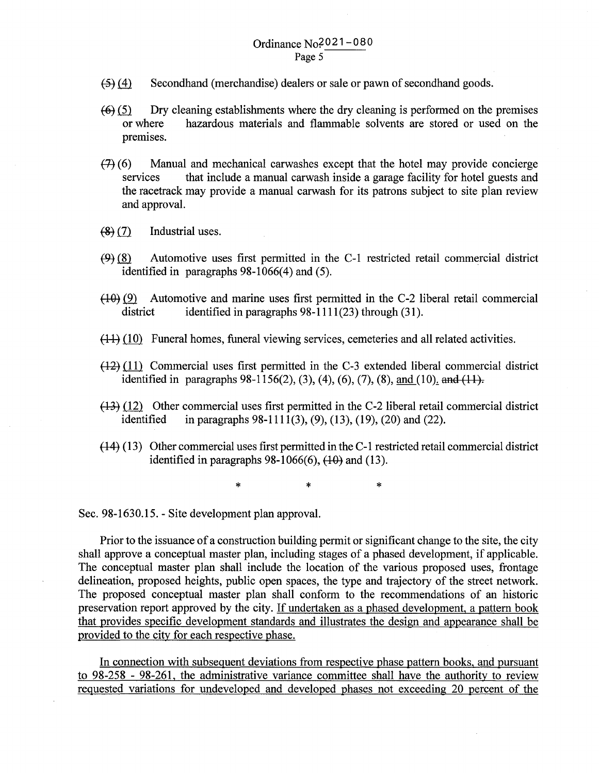# Ordinance No? 021-080 Page 5

- $(5)$  (4) Secondhand (merchandise) dealers or sale or pawn of secondhand goods.
- $f(6)$  (5) Dry cleaning establishments where the dry cleaning is performed on the premises or where hazardous materials and flammable solvents are stored or used on the hazardous materials and flammable solvents are stored or used on the premises.
- $(7)$  (6) Manual and mechanical carwashes except that the hotel may provide concierge services that include a manual carwash inside a garage facility for hotel guests and the racetrack may provide a manual carwash for its patrons subject to site plan review and approval.
- $(8)(7)$  Industrial uses.
- $f(9)$  (8) Automotive uses first permitted in the C-1 restricted retail commercial district identified in paragraphs 98-1066(4) and (5).
- $(10)(9)$  Automotive and marine uses first permitted in the C-2 liberal retail commercial district identified in paragraphs 98-1111(23) through (31). identified in paragraphs  $98-1111(23)$  through (31).
- $f(11)$   $(10)$  Funeral homes, funeral viewing services, cemeteries and all related activities.
- $(12)$  (11) Commercial uses first permitted in the C-3 extended liberal commercial district identified in paragraphs 98-1156(2), (3), (4), (6), (7), (8), and (10). and (11).
- $f(13)$  (12) Other commercial uses first permitted in the C-2 liberal retail commercial district identified in paragraphs 98-1111(3), (9), (13), (19), (20) and (22). in paragraphs 98-1111(3), (9), (13), (19), (20) and (22).
- $f(14)$  (13) Other commercial uses first permitted in the C-1 restricted retail commercial district identified in paragraphs  $98-1066(6)$ ,  $(10)$  and (13).

\* \* \* \* \*

Sec. 98-1630.15. - Site development plan approval.

Prior to the issuance of a construction building permit or significant change to the site, the city shall approve a conceptual master plan, including stages of a phased development, if applicable. The conceptual master plan shall include the location of the various proposed uses, frontage delineation, proposed heights, public open spaces, the type and trajectory of the street network. The proposed conceptual master plan shall conform to the recommendations of an historic preservation report approved by the city. If undertaken as a phased development, a pattern book that provides specific development standards and illustrates the design and appearance shall be provided to the city for each respective phase.

In connection with subsequent deviations from respective phase pattern books, and pursuant to 98-258 - 98-261, the administrative variance committee shall have the authority to review requested variations for undeveloped and developed phases not exceeding 20 percent of the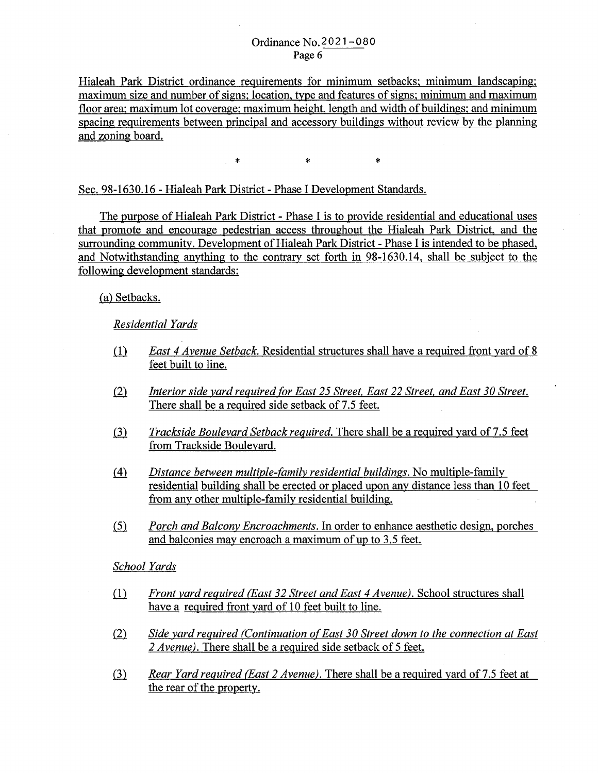### Ordinance No. 2 O 21-08 O Page 6

Hialeah Park District ordinance requirements for minimum setbacks; minimum landscaping; maximum size and number of signs; location, type and features of signs; minimum and maximum floor area; maximum lot coverage; maximum height, length and width of buildings; and minimum spacing requirements between principal and accessory buildings without review by the planning and zoning board.

\* \* \*

### Sec. 98-1630.16 - Hialeah Park District- Phase I Development Standards.

The purpose of Hialeah Park District - Phase I is to provide residential and educational uses that promote and encourage pedestrian access throughout the Hialeah Park District, and the surrounding community. Development of Hialeah Park District - Phase I is intended to be phased, and Notwithstanding anything to the contrary set forth in 98-1630.14, shall be subject to the following development standards:

#### (a) Setbacks.

### *Residential Yards*

- ill *East 4 Avenue Setback.* Residential structures shall have a required front yard of 8 feet built to line.
- ill *Interior side yard required for East 25 Street. East 22 Street, and East 30 Street.*  There shall be a required side setback of 7.5 feet.
- <u>(3)</u> *Trackside Boulevard Setback required.* There shall be a required yard of 7.5 feet from Trackside Boulevard.
- ill *Distance between multiple-family residential buildings.* No multiple-family residential building shall be erected or placed upon any distance less than 10 feet from any other multiple-family residential building.
- <u>(5) Porch and Balcony Encroachments. In order to enhance aesthetic design, porches</u> and balconies may encroach a maximum of up to 3.5 feet.

#### *School Yards*

- ill *Front yard required (East 32 Street and East 4 Avenue).* School structures shall have a required front yard of 10 feet built to line.
- <u>(2)</u> Side yard required (Continuation of East 30 Street down to the connection at East 2 *Avenue*). There shall be a required side setback of 5 feet.
- <u>(3) Rear Yard required (East 2 Avenue). There shall be a required yard of 7.5 feet at</u> the rear of the property.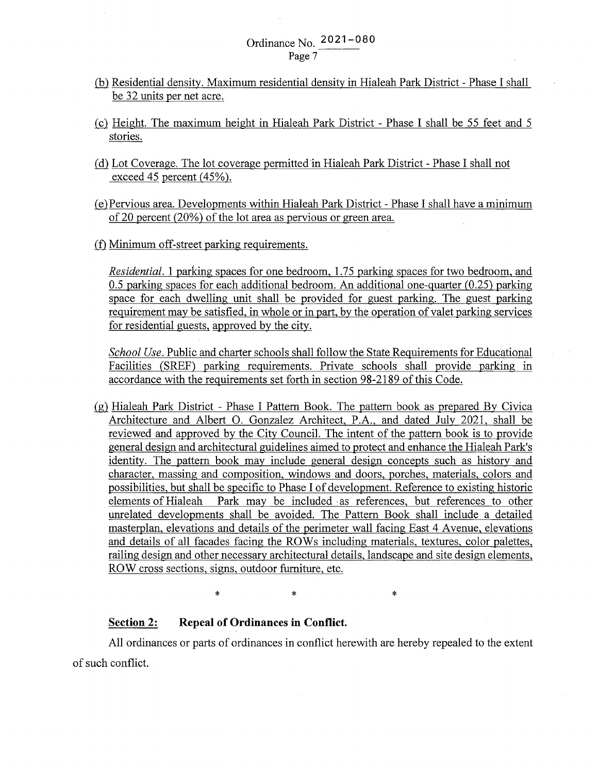- ®.Residential density. Maximum residential density in Hialeah Park District Phase I shall be 32 units per net acre.
- .(0. Height. The maximum height in Hialeah Park District Phase I shall be 55 feet and 5 stories.
- @ Lot Coverage. The lot coverage permitted in Hialeah Park District Phase I shall not exceed 45 percent (45%).
- WPervious area. Developments within Hialeah Park District Phase I shall have a minimum of 20 percent (20%) of the lot area as pervious or green area.
- (f) Minimum off-street parking requirements.

*Residential.* 1 parking spaces for one bedroom, 1.75 parking spaces for two bedroom, and 0.5 parking spaces for each additional bedroom. An additional one-quarter (0.25) parking space for each dwelling unit shall be provided for guest parking. The guest parking requirement may be satisfied, in whole or in part, by the operation of valet parking services for residential guests, approved by the city.

*School Use.* Public and charter schools shall follow the State Requirements for Educational Facilities (SREF) parking requirements. Private schools shall provide parking in accordance with the requirements set forth in section 98-2189 of this Code .

.(gl Hialeah Park District - Phase I Pattern Book. The pattern book as prepared By Civica Architecture and Albert 0. Gonzalez Architect, P.A., and dated July 2021, shall be reviewed and approved by the City Council. The intent of the pattern book is to provide general design and architectural guidelines aimed to protect and enhance the Hialeah Park's identity. The pattern book may include general design concepts such as history and character, massing and composition, windows and doors, porches, materials, colors and possibilities, but shall be specific to Phase I of development. Reference to existing historic elements of Hialeah Park may be included ·as references, but references to other unrelated developments shall be avoided. The Pattern Book shall include a detailed masterplan, elevations and details of the perimeter wall facing East 4 Avenue, elevations and details of all facades facing the ROWs including materials, textures, color palettes, railing design and other necessary architectural details, landscape and site design elements, ROW cross sections, signs, outdoor furniture, etc.

 $*$  \*  $*$  \*

### **Section 2: Repeal of Ordinances in Conflict.**

All ordinances or parts of ordinances in conflict herewith are hereby repealed to the extent of such conflict.